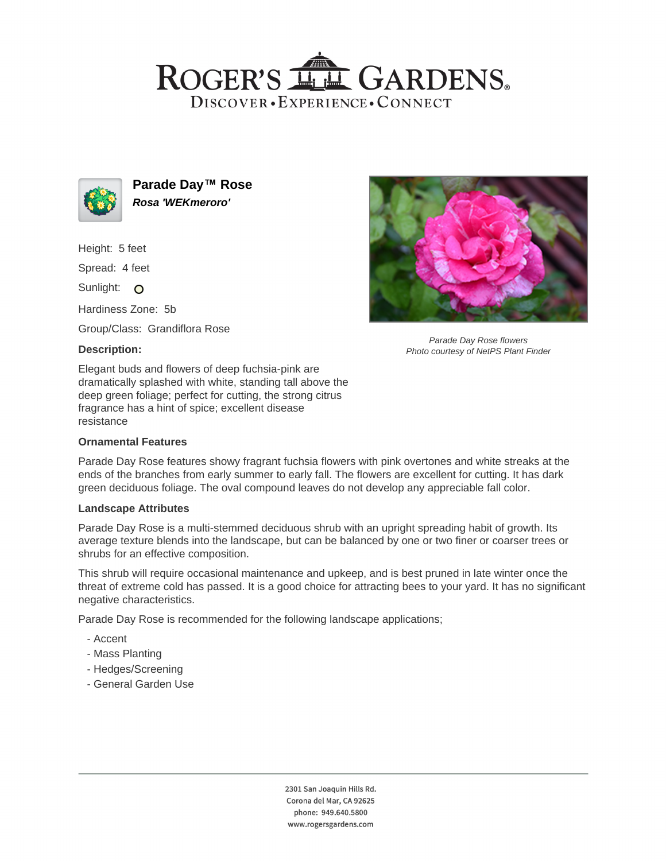# ROGER'S LL GARDENS. DISCOVER · EXPERIENCE · CONNECT



**Parade Day™ Rose Rosa 'WEKmeroro'**

Height: 5 feet

Spread: 4 feet

Sunlight: O

Hardiness Zone: 5b

Group/Class: Grandiflora Rose

## **Description:**

Elegant buds and flowers of deep fuchsia-pink are dramatically splashed with white, standing tall above the deep green foliage; perfect for cutting, the strong citrus fragrance has a hint of spice; excellent disease resistance

#### **Ornamental Features**

Parade Day Rose features showy fragrant fuchsia flowers with pink overtones and white streaks at the ends of the branches from early summer to early fall. The flowers are excellent for cutting. It has dark green deciduous foliage. The oval compound leaves do not develop any appreciable fall color.

#### **Landscape Attributes**

Parade Day Rose is a multi-stemmed deciduous shrub with an upright spreading habit of growth. Its average texture blends into the landscape, but can be balanced by one or two finer or coarser trees or shrubs for an effective composition.

This shrub will require occasional maintenance and upkeep, and is best pruned in late winter once the threat of extreme cold has passed. It is a good choice for attracting bees to your yard. It has no significant negative characteristics.

Parade Day Rose is recommended for the following landscape applications;

- Accent
- Mass Planting
- Hedges/Screening
- General Garden Use



Parade Day Rose flowers Photo courtesy of NetPS Plant Finder

2301 San Joaquin Hills Rd. Corona del Mar, CA 92625 phone: 949.640.5800 www.rogersgardens.com